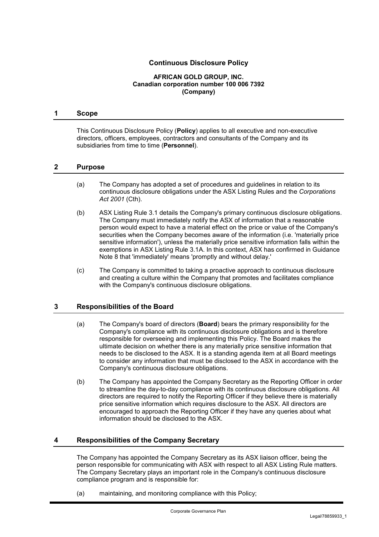# **Continuous Disclosure Policy**

#### **AFRICAN GOLD GROUP, INC. Canadian corporation number 100 006 7392 (Company)**

#### **1 Scope**

This Continuous Disclosure Policy (**Policy**) applies to all executive and non-executive directors, officers, employees, contractors and consultants of the Company and its subsidiaries from time to time (**Personnel**).

## **2 Purpose**

- (a) The Company has adopted a set of procedures and guidelines in relation to its continuous disclosure obligations under the ASX Listing Rules and the *Corporations Act 2001* (Cth).
- (b) ASX Listing Rule 3.1 details the Company's primary continuous disclosure obligations. The Company must immediately notify the ASX of information that a reasonable person would expect to have a material effect on the price or value of the Company's securities when the Company becomes aware of the information (i.e. 'materially price sensitive information'), unless the materially price sensitive information falls within the exemptions in ASX Listing Rule 3.1A. In this context, ASX has confirmed in Guidance Note 8 that 'immediately' means 'promptly and without delay.'
- (c) The Company is committed to taking a proactive approach to continuous disclosure and creating a culture within the Company that promotes and facilitates compliance with the Company's continuous disclosure obligations.

## **3 Responsibilities of the Board**

- (a) The Company's board of directors (**Board**) bears the primary responsibility for the Company's compliance with its continuous disclosure obligations and is therefore responsible for overseeing and implementing this Policy. The Board makes the ultimate decision on whether there is any materially price sensitive information that needs to be disclosed to the ASX. It is a standing agenda item at all Board meetings to consider any information that must be disclosed to the ASX in accordance with the Company's continuous disclosure obligations.
- (b) The Company has appointed the Company Secretary as the Reporting Officer in order to streamline the day-to-day compliance with its continuous disclosure obligations. All directors are required to notify the Reporting Officer if they believe there is materially price sensitive information which requires disclosure to the ASX. All directors are encouraged to approach the Reporting Officer if they have any queries about what information should be disclosed to the ASX.

## **4 Responsibilities of the Company Secretary**

The Company has appointed the Company Secretary as its ASX liaison officer, being the person responsible for communicating with ASX with respect to all ASX Listing Rule matters. The Company Secretary plays an important role in the Company's continuous disclosure compliance program and is responsible for:

(a) maintaining, and monitoring compliance with this Policy;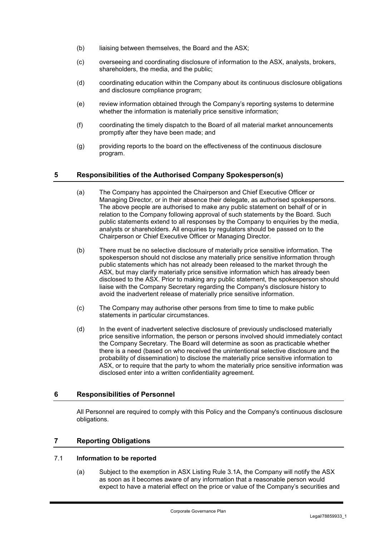- (b) liaising between themselves, the Board and the ASX;
- (c) overseeing and coordinating disclosure of information to the ASX, analysts, brokers, shareholders, the media, and the public;
- (d) coordinating education within the Company about its continuous disclosure obligations and disclosure compliance program;
- (e) review information obtained through the Company's reporting systems to determine whether the information is materially price sensitive information;
- (f) coordinating the timely dispatch to the Board of all material market announcements promptly after they have been made; and
- (g) providing reports to the board on the effectiveness of the continuous disclosure program.

# **5 Responsibilities of the Authorised Company Spokesperson(s)**

- (a) The Company has appointed the Chairperson and Chief Executive Officer or Managing Director, or in their absence their delegate, as authorised spokespersons. The above people are authorised to make any public statement on behalf of or in relation to the Company following approval of such statements by the Board. Such public statements extend to all responses by the Company to enquiries by the media, analysts or shareholders. All enquiries by regulators should be passed on to the Chairperson or Chief Executive Officer or Managing Director.
- (b) There must be no selective disclosure of materially price sensitive information. The spokesperson should not disclose any materially price sensitive information through public statements which has not already been released to the market through the ASX, but may clarify materially price sensitive information which has already been disclosed to the ASX. Prior to making any public statement, the spokesperson should liaise with the Company Secretary regarding the Company's disclosure history to avoid the inadvertent release of materially price sensitive information.
- (c) The Company may authorise other persons from time to time to make public statements in particular circumstances.
- (d) In the event of inadvertent selective disclosure of previously undisclosed materially price sensitive information, the person or persons involved should immediately contact the Company Secretary. The Board will determine as soon as practicable whether there is a need (based on who received the unintentional selective disclosure and the probability of dissemination) to disclose the materially price sensitive information to ASX, or to require that the party to whom the materially price sensitive information was disclosed enter into a written confidentiality agreement.

## **6 Responsibilities of Personnel**

All Personnel are required to comply with this Policy and the Company's continuous disclosure obligations.

## **7 Reporting Obligations**

## 7.1 **Information to be reported**

(a) Subject to the exemption in ASX Listing Rule 3.1A, the Company will notify the ASX as soon as it becomes aware of any information that a reasonable person would expect to have a material effect on the price or value of the Company's securities and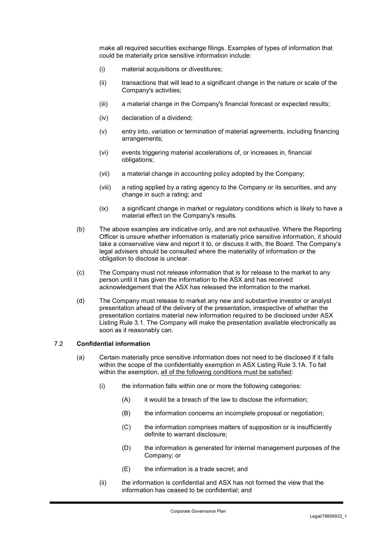make all required securities exchange filings. Examples of types of information that could be materially price sensitive information include:

- (i) material acquisitions or divestitures;
- (ii) transactions that will lead to a significant change in the nature or scale of the Company's activities;
- (iii) a material change in the Company's financial forecast or expected results;
- (iv) declaration of a dividend;
- (v) entry into, variation or termination of material agreements, including financing arrangements;
- (vi) events triggering material accelerations of, or increases in, financial obligations;
- (vii) a material change in accounting policy adopted by the Company;
- (viii) a rating applied by a rating agency to the Company or its securities, and any change in such a rating; and
- (ix) a significant change in market or regulatory conditions which is likely to have a material effect on the Company's results.
- (b) The above examples are indicative only, and are not exhaustive. Where the Reporting Officer is unsure whether information is materially price sensitive information, it should take a conservative view and report it to, or discuss it with, the Board. The Company's legal advisers should be consulted where the materiality of information or the obligation to disclose is unclear.
- (c) The Company must not release information that is for release to the market to any person until it has given the information to the ASX and has received acknowledgement that the ASX has released the information to the market.
- (d) The Company must release to market any new and substantive investor or analyst presentation ahead of the delivery of the presentation, irrespective of whether the presentation contains material new information required to be disclosed under ASX Listing Rule 3.1. The Company will make the presentation available electronically as soon as it reasonably can.

#### 7.2 **Confidential information**

- (a) Certain materially price sensitive information does not need to be disclosed if it falls within the scope of the confidentiality exemption in ASX Listing Rule 3.1A. To fall within the exemption, all of the following conditions must be satisfied:
	- (i) the information falls within one or more the following categories:
		- (A) it would be a breach of the law to disclose the information;
		- (B) the information concerns an incomplete proposal or negotiation;
		- (C) the information comprises matters of supposition or is insufficiently definite to warrant disclosure;
		- (D) the information is generated for internal management purposes of the Company; or
		- (E) the information is a trade secret; and
	- (ii) the information is confidential and ASX has not formed the view that the information has ceased to be confidential; and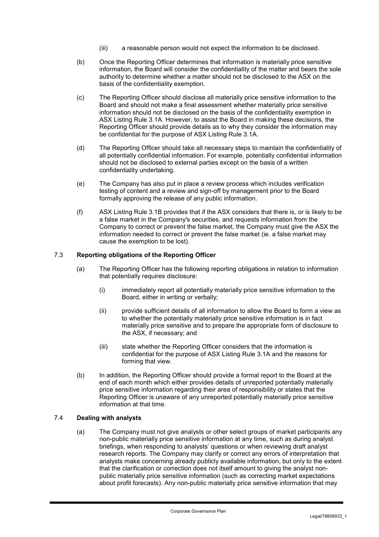- (iii) a reasonable person would not expect the information to be disclosed.
- (b) Once the Reporting Officer determines that information is materially price sensitive information, the Board will consider the confidentiality of the matter and bears the sole authority to determine whether a matter should not be disclosed to the ASX on the basis of the confidentiality exemption.
- (c) The Reporting Officer should disclose all materially price sensitive information to the Board and should not make a final assessment whether materially price sensitive information should not be disclosed on the basis of the confidentiality exemption in ASX Listing Rule 3.1A. However, to assist the Board in making these decisions, the Reporting Officer should provide details as to why they consider the information may be confidential for the purpose of ASX Listing Rule 3.1A.
- (d) The Reporting Officer should take all necessary steps to maintain the confidentiality of all potentially confidential information. For example, potentially confidential information should not be disclosed to external parties except on the basis of a written confidentiality undertaking.
- (e) The Company has also put in place a review process which includes verification testing of content and a review and sign-off by management prior to the Board formally approving the release of any public information.
- (f) ASX Listing Rule 3.1B provides that if the ASX considers that there is, or is likely to be a false market in the Company's securities, and requests information from the Company to correct or prevent the false market, the Company must give the ASX the information needed to correct or prevent the false market (ie. a false market may cause the exemption to be lost).

## 7.3 **Reporting obligations of the Reporting Officer**

- (a) The Reporting Officer has the following reporting obligations in relation to information that potentially requires disclosure:
	- (i) immediately report all potentially materially price sensitive information to the Board, either in writing or verbally;
	- (ii) provide sufficient details of all information to allow the Board to form a view as to whether the potentially materially price sensitive information is in fact materially price sensitive and to prepare the appropriate form of disclosure to the ASX, if necessary; and
	- (iii) state whether the Reporting Officer considers that the information is confidential for the purpose of ASX Listing Rule 3.1A and the reasons for forming that view.
- (b) In addition, the Reporting Officer should provide a formal report to the Board at the end of each month which either provides details of unreported potentially materially price sensitive information regarding their area of responsibility or states that the Reporting Officer is unaware of any unreported potentially materially price sensitive information at that time.

## 7.4 **Dealing with analysts**

(a) The Company must not give analysts or other select groups of market participants any non-public materially price sensitive information at any time, such as during analyst briefings, when responding to analysts' questions or when reviewing draft analyst research reports. The Company may clarify or correct any errors of interpretation that analysts make concerning already publicly available information, but only to the extent that the clarification or correction does not itself amount to giving the analyst nonpublic materially price sensitive information (such as correcting market expectations about profit forecasts). Any non-public materially price sensitive information that may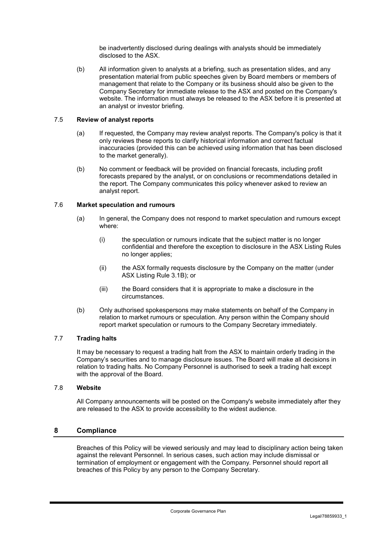be inadvertently disclosed during dealings with analysts should be immediately disclosed to the ASX.

(b) All information given to analysts at a briefing, such as presentation slides, and any presentation material from public speeches given by Board members or members of management that relate to the Company or its business should also be given to the Company Secretary for immediate release to the ASX and posted on the Company's website. The information must always be released to the ASX before it is presented at an analyst or investor briefing.

### 7.5 **Review of analyst reports**

- (a) If requested, the Company may review analyst reports. The Company's policy is that it only reviews these reports to clarify historical information and correct factual inaccuracies (provided this can be achieved using information that has been disclosed to the market generally).
- (b) No comment or feedback will be provided on financial forecasts, including profit forecasts prepared by the analyst, or on conclusions or recommendations detailed in the report. The Company communicates this policy whenever asked to review an analyst report.

#### 7.6 **Market speculation and rumours**

- (a) In general, the Company does not respond to market speculation and rumours except where:
	- (i) the speculation or rumours indicate that the subject matter is no longer confidential and therefore the exception to disclosure in the ASX Listing Rules no longer applies;
	- (ii) the ASX formally requests disclosure by the Company on the matter (under ASX Listing Rule 3.1B); or
	- (iii) the Board considers that it is appropriate to make a disclosure in the circumstances.
- (b) Only authorised spokespersons may make statements on behalf of the Company in relation to market rumours or speculation. Any person within the Company should report market speculation or rumours to the Company Secretary immediately.

### 7.7 **Trading halts**

It may be necessary to request a trading halt from the ASX to maintain orderly trading in the Company's securities and to manage disclosure issues. The Board will make all decisions in relation to trading halts. No Company Personnel is authorised to seek a trading halt except with the approval of the Board.

### 7.8 **Website**

All Company announcements will be posted on the Company's website immediately after they are released to the ASX to provide accessibility to the widest audience.

### **8 Compliance**

Breaches of this Policy will be viewed seriously and may lead to disciplinary action being taken against the relevant Personnel. In serious cases, such action may include dismissal or termination of employment or engagement with the Company. Personnel should report all breaches of this Policy by any person to the Company Secretary.